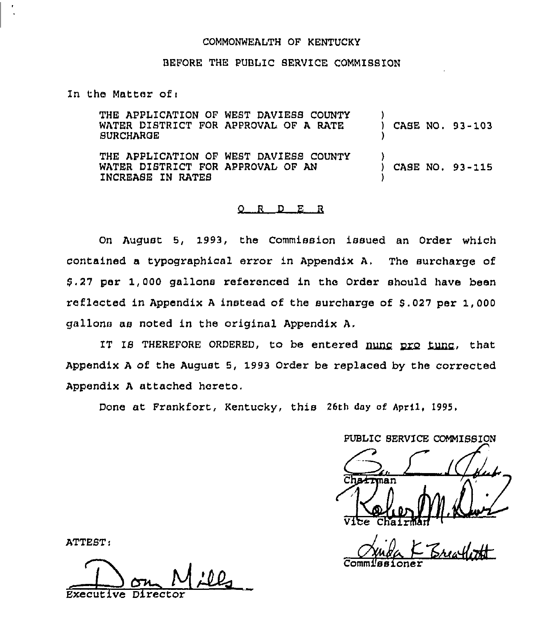## COMMONWEALTH OF KENTUCKY

## BEFORE THE PUBLIC 8ERVICE COMMISSION

In the Matter of <sup>i</sup>

| <b>SURCHARGE</b>                                       | THE APPLICATION OF WEST DAVIESS COUNTY<br>WATER DISTRICT FOR APPROVAL OF A RATE | $\mathbf{1}$ |  | CASE NO. 93-103 |
|--------------------------------------------------------|---------------------------------------------------------------------------------|--------------|--|-----------------|
| WATER DISTRICT FOR APPROVAL OF AN<br>INCREASE IN RATES | THE APPLICATION OF WEST DAVIESS COUNTY                                          |              |  | CASE NO. 93-115 |

#### 0 <sup>R</sup> <sup>D</sup> E <sup>R</sup>

On August 5, 1993, the Commission issued an Order which contained a typographical error in Appendix A, The surcharge of 8.27 per 1,000 gallons referenced in the Order should have been reflected in Appendix <sup>A</sup> instead of the surcharge of 8.027 per 1,000 gallons as noted in the original Appendix A,

IT IS THEREFORE ORDERED, to be entered nunc pro tunc, that Appendix <sup>A</sup> of the August 5, 1993 Order be replaced by the corrected Appendix <sup>A</sup> attached hereto.

Done at Prankfort, Kentucky, this 26th day of April, 1995.

PUBLIC SERVICE COMMISSION man Vice Chairma

Commissione

ATTEST:

Executive Director